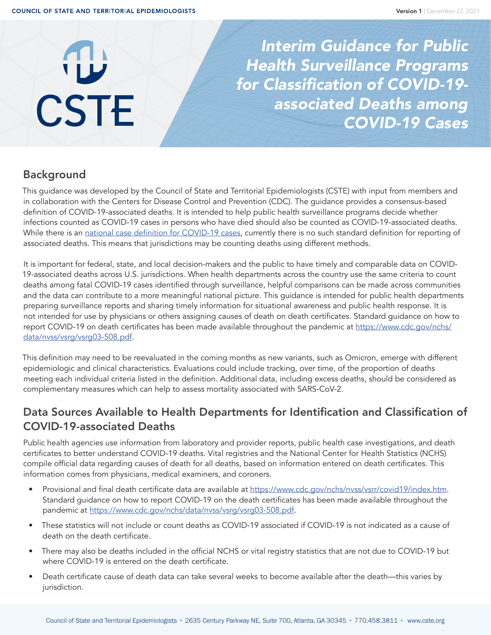# **CSTE**

*Interim Guidance for Public Health Surveillance Programs*  for Classification of COVID-19 associated Deaths among COVID-19 Cases

# Background

This guidance was developed by the Council of State and Territorial Epidemiologists (CSTE) with input from members and in collaboration with the Centers for Disease Control and Prevention (CDC). The guidance provides a consensus-based definition of COVID-19-associated deaths. It is intended to help public health surveillance programs decide whether infections counted as COVID-19 cases in persons who have died should also be counted as COVID-19-associated deaths. While there is an [national case definition for COVID-19 cases,](https://cdn.ymaws.com/www.cste.org/resource/resmgr/21-ID-01_COVID-19_updated_Au.pdf) currently there is no such standard definition for reporting of associated deaths. This means that jurisdictions may be counting deaths using different methods.

It is important for federal, state, and local decision-makers and the public to have timely and comparable data on COVID-19-associated deaths across U.S. jurisdictions. When health departments across the country use the same criteria to count deaths among fatal COVID-19 cases identified through surveillance, helpful comparisons can be made across communities and the data can contribute to a more meaningful national picture. This guidance is intended for public health departments preparing surveillance reports and sharing timely information for situational awareness and public health response. It is not intended for use by physicians or others assigning causes of death on death certificates. Standard guidance on how to report COVID-19 on death certificates has been made available throughout the pandemic at [https://www.cdc.gov/nchs/](https://www.cdc.gov/nchs/data/nvss/vsrg/vsrg03-508.pdf) [data/nvss/vsrg/vsrg03-508.pdf.](https://www.cdc.gov/nchs/data/nvss/vsrg/vsrg03-508.pdf)

This definition may need to be reevaluated in the coming months as new variants, such as Omicron, emerge with different epidemiologic and clinical characteristics. Evaluations could include tracking, over time, of the proportion of deaths meeting each individual criteria listed in the definition. Additional data, including excess deaths, should be considered as complementary measures which can help to assess mortality associated with SARS-CoV-2.

# Data Sources Available to Health Departments for Identification and Classification of COVID-19-associated Deaths

Public health agencies use information from laboratory and provider reports, public health case investigations, and death certificates to better understand COVID-19 deaths. Vital registries and the National Center for Health Statistics (NCHS) compile official data regarding causes of death for all deaths, based on information entered on death certificates. This information comes from physicians, medical examiners, and coroners.

- Provisional and final death certificate data are available at<https://www.cdc.gov/nchs/nvss/vsrr/covid19/index.htm>. Standard guidance on how to report COVID-19 on the death certificates has been made available throughout the pandemic at [https://www.cdc.gov/nchs/data/nvss/vsrg/vsrg03-508.pdf.](https://www.cdc.gov/nchs/data/nvss/vsrg/vsrg03-508.pdf)
- These statistics will not include or count deaths as COVID-19 associated if COVID-19 is not indicated as a cause of death on the death certificate.
- There may also be deaths included in the official NCHS or vital registry statistics that are not due to COVID-19 but where COVID-19 is entered on the death certificate.
- Death certificate cause of death data can take several weeks to become available after the death—this varies by jurisdiction.